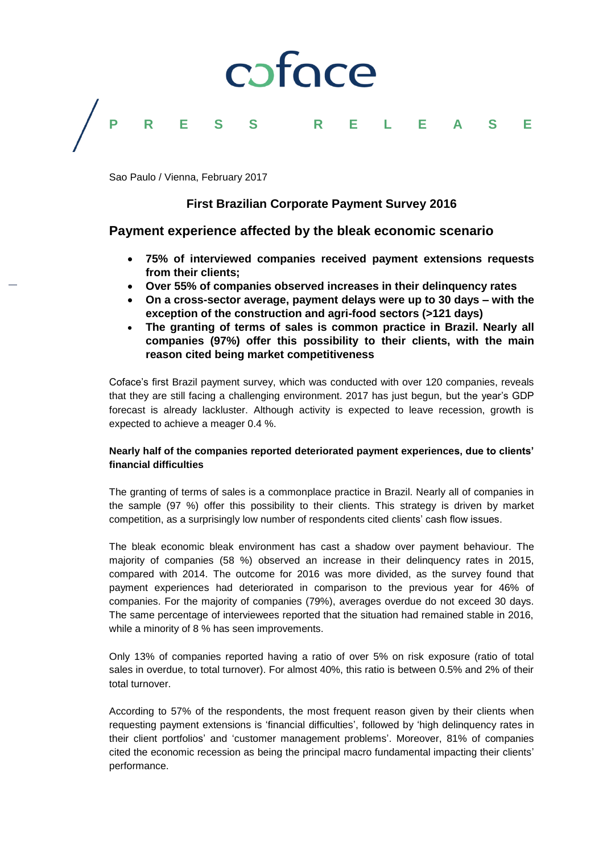# coface **P R E S S R E L E A S E**

Sao Paulo / Vienna, February 2017

## **First Brazilian Corporate Payment Survey 2016**

### **Payment experience affected by the bleak economic scenario**

- **75% of interviewed companies received payment extensions requests from their clients;**
- **Over 55% of companies observed increases in their delinquency rates**
- **On a cross-sector average, payment delays were up to 30 days – with the exception of the construction and agri-food sectors (>121 days)**
- **The granting of terms of sales is common practice in Brazil. Nearly all companies (97%) offer this possibility to their clients, with the main reason cited being market competitiveness**

Coface's first Brazil payment survey, which was conducted with over 120 companies, reveals that they are still facing a challenging environment. 2017 has just begun, but the year's GDP forecast is already lackluster. Although activity is expected to leave recession, growth is expected to achieve a meager 0.4 %.

### **Nearly half of the companies reported deteriorated payment experiences, due to clients' financial difficulties**

The granting of terms of sales is a commonplace practice in Brazil. Nearly all of companies in the sample (97 %) offer this possibility to their clients. This strategy is driven by market competition, as a surprisingly low number of respondents cited clients' cash flow issues.

The bleak economic bleak environment has cast a shadow over payment behaviour. The majority of companies (58 %) observed an increase in their delinquency rates in 2015, compared with 2014. The outcome for 2016 was more divided, as the survey found that payment experiences had deteriorated in comparison to the previous year for 46% of companies. For the majority of companies (79%), averages overdue do not exceed 30 days. The same percentage of interviewees reported that the situation had remained stable in 2016, while a minority of 8 % has seen improvements.

Only 13% of companies reported having a ratio of over 5% on risk exposure (ratio of total sales in overdue, to total turnover). For almost 40%, this ratio is between 0.5% and 2% of their total turnover.

According to 57% of the respondents, the most frequent reason given by their clients when requesting payment extensions is 'financial difficulties', followed by 'high delinquency rates in their client portfolios' and 'customer management problems'. Moreover, 81% of companies cited the economic recession as being the principal macro fundamental impacting their clients' performance.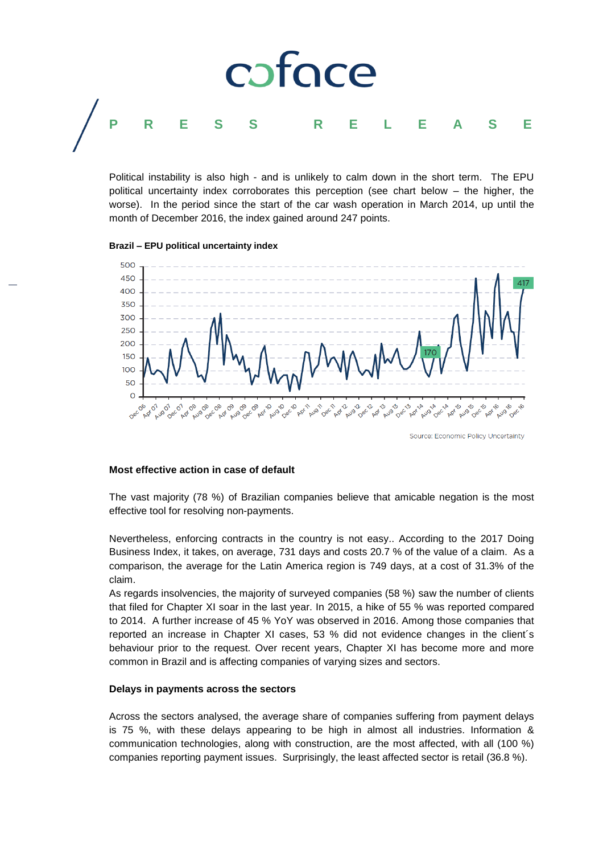

Political instability is also high - and is unlikely to calm down in the short term. The EPU political uncertainty index corroborates this perception (see chart below – the higher, the worse). In the period since the start of the car wash operation in March 2014, up until the month of December 2016, the index gained around 247 points.

#### **Brazil – EPU political uncertainty index**



#### **Most effective action in case of default**

The vast majority (78 %) of Brazilian companies believe that amicable negation is the most effective tool for resolving non-payments.

Nevertheless, enforcing contracts in the country is not easy.. According to the 2017 Doing Business Index, it takes, on average, 731 days and costs 20.7 % of the value of a claim. As a comparison, the average for the Latin America region is 749 days, at a cost of 31.3% of the claim.

As regards insolvencies, the majority of surveyed companies (58 %) saw the number of clients that filed for Chapter XI soar in the last year. In 2015, a hike of 55 % was reported compared to 2014. A further increase of 45 % YoY was observed in 2016. Among those companies that reported an increase in Chapter XI cases, 53 % did not evidence changes in the client´s behaviour prior to the request. Over recent years, Chapter XI has become more and more common in Brazil and is affecting companies of varying sizes and sectors.

#### **Delays in payments across the sectors**

Across the sectors analysed, the average share of companies suffering from payment delays is 75 %, with these delays appearing to be high in almost all industries. Information & communication technologies, along with construction, are the most affected, with all (100 %) companies reporting payment issues. Surprisingly, the least affected sector is retail (36.8 %).